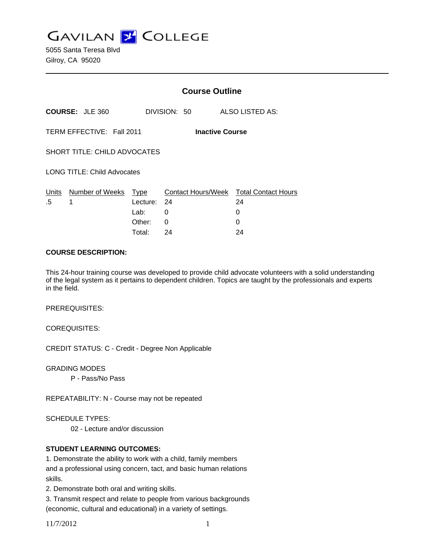**GAVILAN Z COLLEGE** 

5055 Santa Teresa Blvd Gilroy, CA 95020

|                                                     |                      | <b>Course Outline</b>    |                                                     |         |                 |  |
|-----------------------------------------------------|----------------------|--------------------------|-----------------------------------------------------|---------|-----------------|--|
| <b>COURSE: JLE 360</b>                              |                      |                          | DIVISION: 50                                        |         | ALSO LISTED AS: |  |
| TERM EFFECTIVE: Fall 2011<br><b>Inactive Course</b> |                      |                          |                                                     |         |                 |  |
| SHORT TITLE: CHILD ADVOCATES                        |                      |                          |                                                     |         |                 |  |
| <b>LONG TITLE: Child Advocates</b>                  |                      |                          |                                                     |         |                 |  |
| Units<br>.5                                         | Number of Weeks<br>1 | Type<br>Lecture:<br>Lab: | Contact Hours/Week Total Contact Hours<br>- 24<br>0 | 24<br>0 |                 |  |
|                                                     |                      | Other:                   | 0                                                   | 0       |                 |  |
|                                                     |                      | Total:                   | 24                                                  | 24      |                 |  |

#### **COURSE DESCRIPTION:**

This 24-hour training course was developed to provide child advocate volunteers with a solid understanding of the legal system as it pertains to dependent children. Topics are taught by the professionals and experts in the field.

PREREQUISITES:

COREQUISITES:

CREDIT STATUS: C - Credit - Degree Non Applicable

GRADING MODES

P - Pass/No Pass

REPEATABILITY: N - Course may not be repeated

SCHEDULE TYPES:

02 - Lecture and/or discussion

### **STUDENT LEARNING OUTCOMES:**

1. Demonstrate the ability to work with a child, family members and a professional using concern, tact, and basic human relations skills.

2. Demonstrate both oral and writing skills.

3. Transmit respect and relate to people from various backgrounds (economic, cultural and educational) in a variety of settings.

11/7/2012 1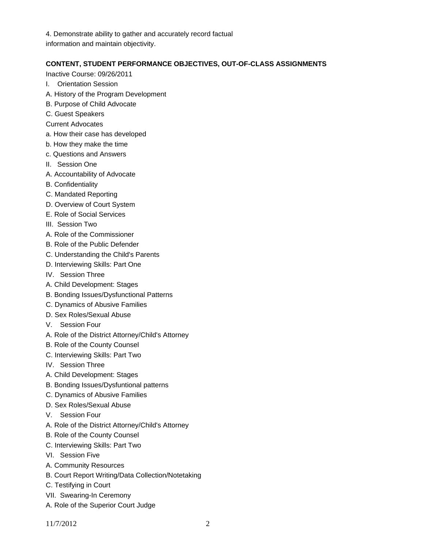4. Demonstrate ability to gather and accurately record factual information and maintain objectivity.

## **CONTENT, STUDENT PERFORMANCE OBJECTIVES, OUT-OF-CLASS ASSIGNMENTS**

Inactive Course: 09/26/2011

- I. Orientation Session
- A. History of the Program Development
- B. Purpose of Child Advocate
- C. Guest Speakers
- Current Advocates
- a. How their case has developed
- b. How they make the time
- c. Questions and Answers
- II. Session One
- A. Accountability of Advocate
- B. Confidentiality
- C. Mandated Reporting
- D. Overview of Court System
- E. Role of Social Services
- III. Session Two
- A. Role of the Commissioner
- B. Role of the Public Defender
- C. Understanding the Child's Parents
- D. Interviewing Skills: Part One
- IV. Session Three
- A. Child Development: Stages
- B. Bonding Issues/Dysfunctional Patterns
- C. Dynamics of Abusive Families
- D. Sex Roles/Sexual Abuse
- V. Session Four
- A. Role of the District Attorney/Child's Attorney
- B. Role of the County Counsel
- C. Interviewing Skills: Part Two
- IV. Session Three
- A. Child Development: Stages
- B. Bonding Issues/Dysfuntional patterns
- C. Dynamics of Abusive Families
- D. Sex Roles/Sexual Abuse
- V. Session Four
- A. Role of the District Attorney/Child's Attorney
- B. Role of the County Counsel
- C. Interviewing Skills: Part Two
- VI. Session Five
- A. Community Resources
- B. Court Report Writing/Data Collection/Notetaking
- C. Testifying in Court
- VII. Swearing-In Ceremony
- A. Role of the Superior Court Judge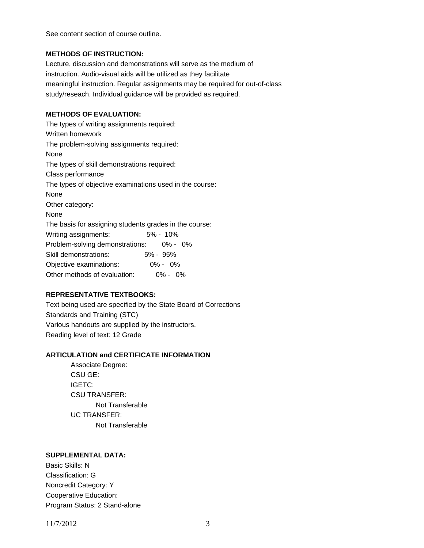See content section of course outline.

### **METHODS OF INSTRUCTION:**

Lecture, discussion and demonstrations will serve as the medium of instruction. Audio-visual aids will be utilized as they facilitate meaningful instruction. Regular assignments may be required for out-of-class study/reseach. Individual guidance will be provided as required.

# **METHODS OF EVALUATION:**

The types of writing assignments required: Written homework The problem-solving assignments required: None The types of skill demonstrations required: Class performance The types of objective examinations used in the course: None Other category: None The basis for assigning students grades in the course: Writing assignments: 5% - 10% Problem-solving demonstrations: 0% - 0% Skill demonstrations: 5% - 95% Objective examinations: 0% - 0% Other methods of evaluation: 0% - 0%

### **REPRESENTATIVE TEXTBOOKS:**

Text being used are specified by the State Board of Corrections Standards and Training (STC) Various handouts are supplied by the instructors. Reading level of text: 12 Grade

### **ARTICULATION and CERTIFICATE INFORMATION**

 Not Transferable UC TRANSFER: Not Transferable Associate Degree: CSU GE: IGETC: CSU TRANSFER:

### **SUPPLEMENTAL DATA:**

Basic Skills: N Classification: G Noncredit Category: Y Cooperative Education: Program Status: 2 Stand-alone